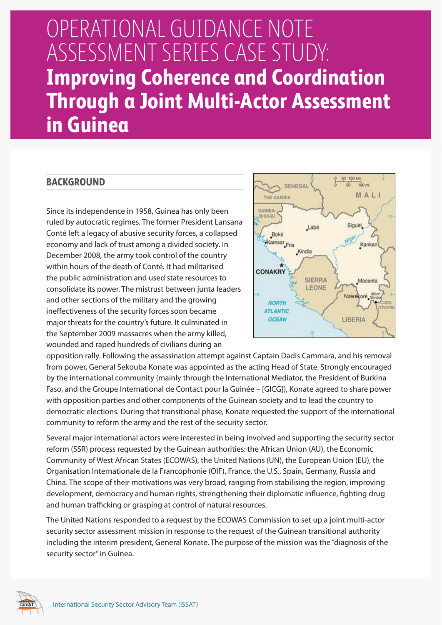# OPERATIONAL GUIDANCE NOTE ASSESSMENT SERIES CASE STUDY: **Improving Coherence and Coordination Through a Joint Multi-Actor Assessment in Guinea**

## **BACKGROUND**

Since its independence in 1958, Guinea has only been ruled by autocratic regimes. The former President Lansana Conté left a legacy of abusive security forces, a collapsed economy and lack of trust among a divided society. In December 2008, the army took control of the country within hours of the death of Conté. It had militarised the public administration and used state resources to consolidate its power. The mistrust between junta leaders and other sections of the military and the growing ineffectiveness of the security forces soon became major threats for the country's future. It culminated in the September 2009 massacres when the army killed, wounded and raped hundreds of civilians during an



opposition rally. Following the assassination attempt against Captain Dadis Cammara, and his removal from power, General Sekouba Konate was appointed as the acting Head of State. Strongly encouraged by the international community (mainly through the International Mediator, the President of Burkina Faso, and the Groupe International de Contact pour la Guinée – [GICG]), Konate agreed to share power with opposition parties and other components of the Guinean society and to lead the country to democratic elections. During that transitional phase, Konate requested the support of the international community to reform the army and the rest of the security sector.

Several major international actors were interested in being involved and supporting the security sector reform (SSR) process requested by the Guinean authorities: the African Union (AU), the Economic Community of West African States (ECOWAS), the United Nations (UN), the European Union (EU), the Organisation Internationale de la Francophonie (OIF), France, the U.S., Spain, Germany, Russia and China. The scope of their motivations was very broad, ranging from stabilising the region, improving development, democracy and human rights, strengthening their diplomatic influence, fighting drug and human trafficking or grasping at control of natural resources.

The United Nations responded to a request by the ECOWAS Commission to set up a joint multi-actor security sector assessment mission in response to the request of the Guinean transitional authority including the interim president, General Konate. The purpose of the mission was the "diagnosis of the security sector" in Guinea.

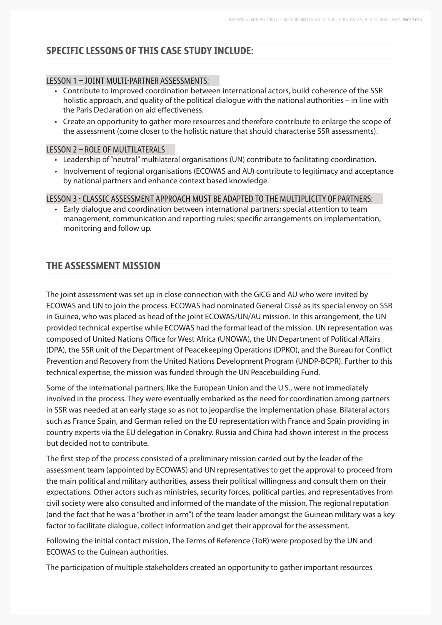## **SPECIFIC LESSONS OF THIS CASE STUDY INCLUDE:**

### LESSON 1 – JOINT MULTI-PARTNER ASSESSMENTS:

- • Contribute to improved coordination between international actors, build coherence of the SSR holistic approach, and quality of the political dialogue with the national authorities – in line with the Paris Declaration on aid effectiveness.
- • Create an opportunity to gather more resources and therefore contribute to enlarge the scope of the assessment (come closer to the holistic nature that should characterise SSR assessments).

#### LESSON 2 – ROLE OF MULTILATERALS

- • Leadership of "neutral" multilateral organisations (UN) contribute to facilitating coordination.
- Involvement of regional organisations (ECOWAS and AU) contribute to legitimacy and acceptance by national partners and enhance context based knowledge.

LESSON 3 - CLASSIC ASSESSMENT APPROACH MUST BE ADAPTED TO THE MULTIPLICITY OF PARTNERS:

• Early dialogue and coordination between international partners; special attention to team management, communication and reporting rules; specific arrangements on implementation, monitoring and follow up.

## **THE ASSESSMENT MISSION**

The joint assessment was set up in close connection with the GICG and AU who were invited by ECOWAS and UN to join the process. ECOWAS had nominated General Cissé as its special envoy on SSR in Guinea, who was placed as head of the joint ECOWAS/UN/AU mission. In this arrangement, the UN provided technical expertise while ECOWAS had the formal lead of the mission. UN representation was composed of United Nations Office for West Africa (UNOWA), the UN Department of Political Affairs (DPA), the SSR unit of the Department of Peacekeeping Operations (DPKO), and the Bureau for Conflict Prevention and Recovery from the United Nations Development Program (UNDP-BCPR). Further to this technical expertise, the mission was funded through the UN Peacebuilding Fund.

Some of the international partners, like the European Union and the U.S., were not immediately involved in the process. They were eventually embarked as the need for coordination among partners in SSR was needed at an early stage so as not to jeopardise the implementation phase. Bilateral actors such as France Spain, and German relied on the EU representation with France and Spain providing in country experts via the EU delegation in Conakry. Russia and China had shown interest in the process but decided not to contribute.

The first step of the process consisted of a preliminary mission carried out by the leader of the assessment team (appointed by ECOWAS) and UN representatives to get the approval to proceed from the main political and military authorities, assess their political willingness and consult them on their expectations. Other actors such as ministries, security forces, political parties, and representatives from civil society were also consulted and informed of the mandate of the mission. The regional reputation (and the fact that he was a "brother in arm") of the team leader amongst the Guinean military was a key factor to facilitate dialogue, collect information and get their approval for the assessment.

Following the initial contact mission, The Terms of Reference (ToR) were proposed by the UN and ECOWAS to the Guinean authorities.

The participation of multiple stakeholders created an opportunity to gather important resources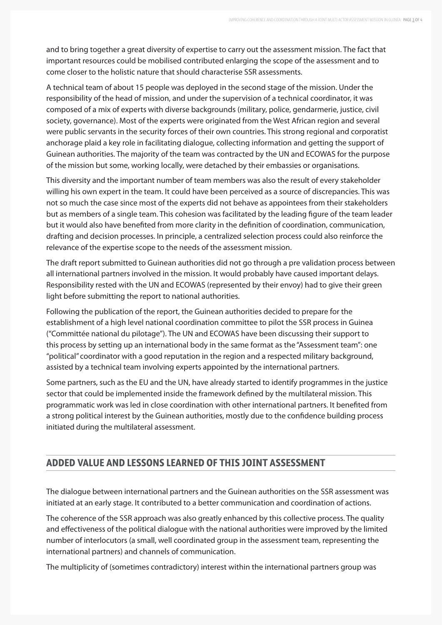and to bring together a great diversity of expertise to carry out the assessment mission. The fact that important resources could be mobilised contributed enlarging the scope of the assessment and to come closer to the holistic nature that should characterise SSR assessments.

A technical team of about 15 people was deployed in the second stage of the mission. Under the responsibility of the head of mission, and under the supervision of a technical coordinator, it was composed of a mix of experts with diverse backgrounds (military, police, gendarmerie, justice, civil society, governance). Most of the experts were originated from the West African region and several were public servants in the security forces of their own countries. This strong regional and corporatist anchorage plaid a key role in facilitating dialogue, collecting information and getting the support of Guinean authorities. The majority of the team was contracted by the UN and ECOWAS for the purpose of the mission but some, working locally, were detached by their embassies or organisations.

This diversity and the important number of team members was also the result of every stakeholder willing his own expert in the team. It could have been perceived as a source of discrepancies. This was not so much the case since most of the experts did not behave as appointees from their stakeholders but as members of a single team. This cohesion was facilitated by the leading figure of the team leader but it would also have benefited from more clarity in the definition of coordination, communication, drafting and decision processes. In principle, a centralized selection process could also reinforce the relevance of the expertise scope to the needs of the assessment mission.

The draft report submitted to Guinean authorities did not go through a pre validation process between all international partners involved in the mission. It would probably have caused important delays. Responsibility rested with the UN and ECOWAS (represented by their envoy) had to give their green light before submitting the report to national authorities.

Following the publication of the report, the Guinean authorities decided to prepare for the establishment of a high level national coordination committee to pilot the SSR process in Guinea ("Committée national du pilotage"). The UN and ECOWAS have been discussing their support to this process by setting up an international body in the same format as the "Assessment team": one "political" coordinator with a good reputation in the region and a respected military background, assisted by a technical team involving experts appointed by the international partners.

Some partners, such as the EU and the UN, have already started to identify programmes in the justice sector that could be implemented inside the framework defined by the multilateral mission. This programmatic work was led in close coordination with other international partners. It benefited from a strong political interest by the Guinean authorities, mostly due to the confidence building process initiated during the multilateral assessment.

## **ADDED VALUE AND LESSONS LEARNED OF THIS JOINT ASSESSMENT**

The dialogue between international partners and the Guinean authorities on the SSR assessment was initiated at an early stage. It contributed to a better communication and coordination of actions.

The coherence of the SSR approach was also greatly enhanced by this collective process. The quality and effectiveness of the political dialogue with the national authorities were improved by the limited number of interlocutors (a small, well coordinated group in the assessment team, representing the international partners) and channels of communication.

The multiplicity of (sometimes contradictory) interest within the international partners group was